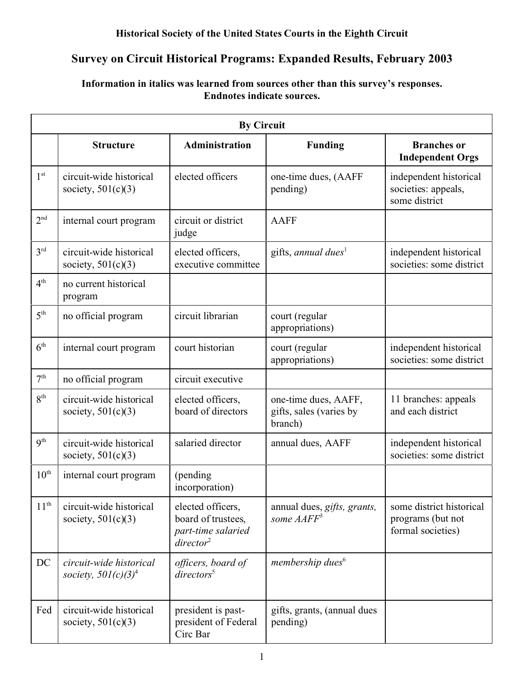## **Historical Society of the United States Courts in the Eighth Circuit**

# **Survey on Circuit Historical Programs: Expanded Results, February 2003**

## **Information in italics was learned from sources other than this survey's responses. Endnotes indicate sources.**

| <b>By Circuit</b> |                                                   |                                                                                         |                                                            |                                                                    |  |  |
|-------------------|---------------------------------------------------|-----------------------------------------------------------------------------------------|------------------------------------------------------------|--------------------------------------------------------------------|--|--|
|                   | <b>Structure</b>                                  | <b>Administration</b>                                                                   | <b>Funding</b>                                             | <b>Branches</b> or<br><b>Independent Orgs</b>                      |  |  |
| 1 <sup>st</sup>   | circuit-wide historical<br>society, $501(c)(3)$   | elected officers                                                                        | one-time dues, (AAFF<br>pending)                           | independent historical<br>societies: appeals,<br>some district     |  |  |
| 2 <sup>nd</sup>   | internal court program                            | circuit or district<br>judge                                                            | <b>AAFF</b>                                                |                                                                    |  |  |
| 3 <sup>rd</sup>   | circuit-wide historical<br>society, $501(c)(3)$   | elected officers,<br>executive committee                                                | gifts, annual dues <sup>1</sup>                            | independent historical<br>societies: some district                 |  |  |
| 4 <sup>th</sup>   | no current historical<br>program                  |                                                                                         |                                                            |                                                                    |  |  |
| $5^{\text{th}}$   | no official program                               | circuit librarian                                                                       | court (regular<br>appropriations)                          |                                                                    |  |  |
| 6 <sup>th</sup>   | internal court program                            | court historian                                                                         | court (regular<br>appropriations)                          | independent historical<br>societies: some district                 |  |  |
| 7 <sup>th</sup>   | no official program                               | circuit executive                                                                       |                                                            |                                                                    |  |  |
| 8 <sup>th</sup>   | circuit-wide historical<br>society, $501(c)(3)$   | elected officers,<br>board of directors                                                 | one-time dues, AAFF,<br>gifts, sales (varies by<br>branch) | 11 branches: appeals<br>and each district                          |  |  |
| 9 <sup>th</sup>   | circuit-wide historical<br>society, $501(c)(3)$   | salaried director                                                                       | annual dues, AAFF                                          | independent historical<br>societies: some district                 |  |  |
| $10^{\text{th}}$  | internal court program                            | (pending<br>incorporation)                                                              |                                                            |                                                                    |  |  |
| $11^{th}$         | circuit-wide historical<br>society, $501(c)(3)$   | elected officers,<br>board of trustees,<br>part-time salaried<br>$\textit{directory}^2$ | annual dues, gifts, grants,<br>some AAFF <sup>3</sup>      | some district historical<br>programs (but not<br>formal societies) |  |  |
| DC                | circuit-wide historical<br>society, $501(c)(3)^4$ | officers, board of<br>directors <sup>5</sup>                                            | membership dues <sup>6</sup>                               |                                                                    |  |  |
| Fed               | circuit-wide historical<br>society, $501(c)(3)$   | president is past-<br>president of Federal<br>Circ Bar                                  | gifts, grants, (annual dues<br>pending)                    |                                                                    |  |  |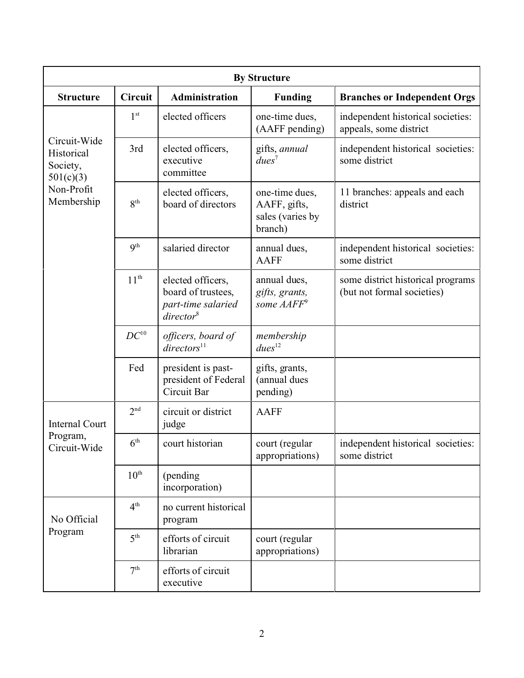| <b>By Structure</b>                                 |                  |                                                                                         |                                                               |                                                                 |  |  |  |  |
|-----------------------------------------------------|------------------|-----------------------------------------------------------------------------------------|---------------------------------------------------------------|-----------------------------------------------------------------|--|--|--|--|
| <b>Structure</b>                                    | <b>Circuit</b>   | Administration                                                                          | <b>Funding</b>                                                | <b>Branches or Independent Orgs</b>                             |  |  |  |  |
|                                                     | 1 <sup>st</sup>  | elected officers                                                                        | one-time dues,<br>(AAFF pending)                              | independent historical societies:<br>appeals, some district     |  |  |  |  |
| Circuit-Wide<br>Historical<br>Society,<br>501(c)(3) | 3rd              | elected officers,<br>executive<br>committee                                             | gifts, annual<br>$dues^7$                                     | independent historical societies:<br>some district              |  |  |  |  |
| Non-Profit<br>Membership                            | 8 <sup>th</sup>  | elected officers,<br>board of directors                                                 | one-time dues,<br>AAFF, gifts,<br>sales (varies by<br>branch) | 11 branches: appeals and each<br>district                       |  |  |  |  |
|                                                     | 9 <sup>th</sup>  | salaried director                                                                       | annual dues,<br><b>AAFF</b>                                   | independent historical societies:<br>some district              |  |  |  |  |
|                                                     | 11 <sup>th</sup> | elected officers,<br>board of trustees,<br>part-time salaried<br>directory <sup>8</sup> | annual dues,<br>gifts, grants,<br>some AAFF <sup>9</sup>      | some district historical programs<br>(but not formal societies) |  |  |  |  |
|                                                     | $DC^{10}$        | officers, board of<br>directors <sup>11</sup>                                           | membership<br>dues <sup>12</sup>                              |                                                                 |  |  |  |  |
|                                                     | Fed              | president is past-<br>president of Federal<br>Circuit Bar                               | gifts, grants,<br>(annual dues<br>pending)                    |                                                                 |  |  |  |  |
| <b>Internal Court</b>                               | 2 <sup>nd</sup>  | circuit or district<br>judge                                                            | <b>AAFF</b>                                                   |                                                                 |  |  |  |  |
| Program,<br>Circuit-Wide                            | 6 <sup>th</sup>  | court historian                                                                         | court (regular<br>appropriations)                             | independent historical societies:<br>some district              |  |  |  |  |
|                                                     | $10^{\text{th}}$ | (pending<br>incorporation)                                                              |                                                               |                                                                 |  |  |  |  |
| No Official                                         | 4 <sup>th</sup>  | no current historical<br>program                                                        |                                                               |                                                                 |  |  |  |  |
| Program                                             | 5 <sup>th</sup>  | efforts of circuit<br>librarian                                                         | court (regular<br>appropriations)                             |                                                                 |  |  |  |  |
|                                                     | 7 <sup>th</sup>  | efforts of circuit<br>executive                                                         |                                                               |                                                                 |  |  |  |  |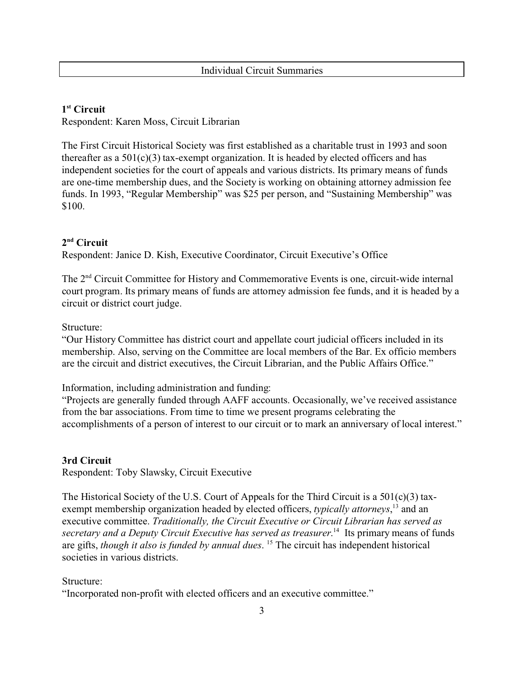Individual Circuit Summaries

#### **1 st Circuit** Respondent: Karen Moss, Circuit Librarian

The First Circuit Historical Society was first established as a charitable trust in 1993 and soon thereafter as a  $501(c)(3)$  tax-exempt organization. It is headed by elected officers and has independent societies for the court of appeals and various districts. Its primary means of funds are one-time membership dues, and the Society is working on obtaining attorney admission fee funds. In 1993, "Regular Membership" was \$25 per person, and "Sustaining Membership" was \$100.

# **2 nd Circuit**

Respondent: Janice D. Kish, Executive Coordinator, Circuit Executive's Office

The 2nd Circuit Committee for History and Commemorative Events is one, circuit-wide internal court program. Its primary means of funds are attorney admission fee funds, and it is headed by a circuit or district court judge.

#### Structure:

"Our History Committee has district court and appellate court judicial officers included in its membership. Also, serving on the Committee are local members of the Bar. Ex officio members are the circuit and district executives, the Circuit Librarian, and the Public Affairs Office."

Information, including administration and funding:

"Projects are generally funded through AAFF accounts. Occasionally, we've received assistance from the bar associations. From time to time we present programs celebrating the accomplishments of a person of interest to our circuit or to mark an anniversary of local interest."

## **3rd Circuit**

Respondent: Toby Slawsky, Circuit Executive

The Historical Society of the U.S. Court of Appeals for the Third Circuit is a  $501(c)(3)$  taxexempt membership organization headed by elected officers, *typically attorneys*,<sup>13</sup> and an executive committee. *Traditionally, the Circuit Executive or Circuit Librarian has served as secretary and a Deputy Circuit Executive has served as treasurer*. <sup>14</sup> Its primary means of funds are gifts, *though it also is funded by annual dues*. <sup>15</sup> The circuit has independent historical societies in various districts.

#### Structure:

"Incorporated non-profit with elected officers and an executive committee."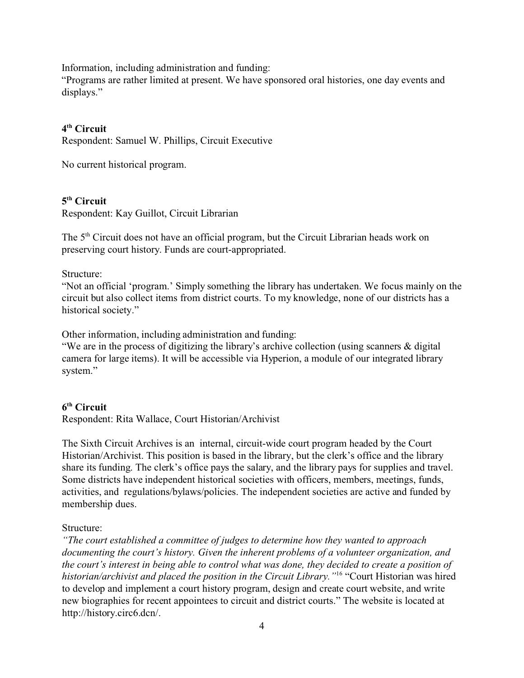Information, including administration and funding:

"Programs are rather limited at present. We have sponsored oral histories, one day events and displays."

## **4 th Circuit**

Respondent: Samuel W. Phillips, Circuit Executive

No current historical program.

## **5 th Circuit**

Respondent: Kay Guillot, Circuit Librarian

The 5<sup>th</sup> Circuit does not have an official program, but the Circuit Librarian heads work on preserving court history. Funds are court-appropriated.

Structure:

"Not an official 'program.' Simply something the library has undertaken. We focus mainly on the circuit but also collect items from district courts. To my knowledge, none of our districts has a historical society."

Other information, including administration and funding:

"We are in the process of digitizing the library's archive collection (using scanners & digital camera for large items). It will be accessible via Hyperion, a module of our integrated library system."

## **6 th Circuit**

Respondent: Rita Wallace, Court Historian/Archivist

The Sixth Circuit Archives is an internal, circuit-wide court program headed by the Court Historian/Archivist. This position is based in the library, but the clerk's office and the library share its funding. The clerk's office pays the salary, and the library pays for supplies and travel. Some districts have independent historical societies with officers, members, meetings, funds, activities, and regulations/bylaws/policies. The independent societies are active and funded by membership dues.

#### Structure:

*"The court established a committee of judges to determine how they wanted to approach documenting the court's history. Given the inherent problems of a volunteer organization, and the court's interest in being able to control what was done, they decided to create a position of historian/archivist and placed the position in the Circuit Library."*<sup>16</sup> "Court Historian was hired to develop and implement a court history program, design and create court website, and write new biographies for recent appointees to circuit and district courts." The website is located at http://history.circ6.dcn/.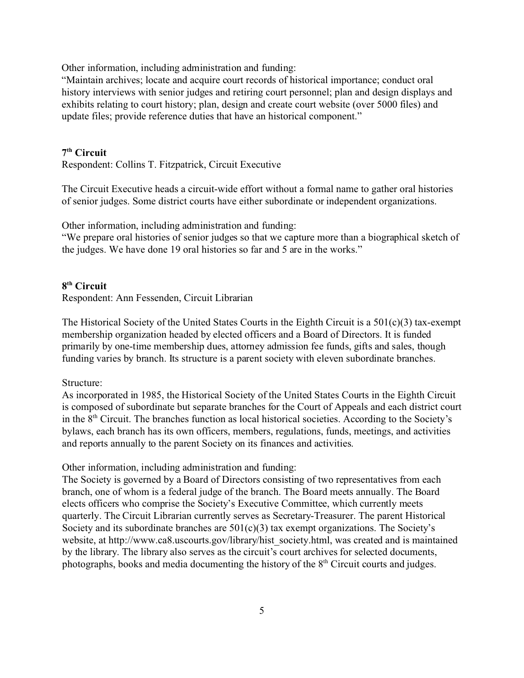Other information, including administration and funding:

"Maintain archives; locate and acquire court records of historical importance; conduct oral history interviews with senior judges and retiring court personnel; plan and design displays and exhibits relating to court history; plan, design and create court website (over 5000 files) and update files; provide reference duties that have an historical component."

#### **7 th Circuit**

Respondent: Collins T. Fitzpatrick, Circuit Executive

The Circuit Executive heads a circuit-wide effort without a formal name to gather oral histories of senior judges. Some district courts have either subordinate or independent organizations.

Other information, including administration and funding:

"We prepare oral histories of senior judges so that we capture more than a biographical sketch of the judges. We have done 19 oral histories so far and 5 are in the works."

#### **8 th Circuit**

Respondent: Ann Fessenden, Circuit Librarian

The Historical Society of the United States Courts in the Eighth Circuit is a 501(c)(3) tax-exempt membership organization headed by elected officers and a Board of Directors. It is funded primarily by one-time membership dues, attorney admission fee funds, gifts and sales, though funding varies by branch. Its structure is a parent society with eleven subordinate branches.

#### Structure:

As incorporated in 1985, the Historical Society of the United States Courts in the Eighth Circuit is composed of subordinate but separate branches for the Court of Appeals and each district court in the 8th Circuit. The branches function as local historical societies. According to the Society's bylaws, each branch has its own officers, members, regulations, funds, meetings, and activities and reports annually to the parent Society on its finances and activities.

Other information, including administration and funding:

The Society is governed by a Board of Directors consisting of two representatives from each branch, one of whom is a federal judge of the branch. The Board meets annually. The Board elects officers who comprise the Society's Executive Committee, which currently meets quarterly. The Circuit Librarian currently serves as Secretary-Treasurer. The parent Historical Society and its subordinate branches are  $501(c)(3)$  tax exempt organizations. The Society's website, at http://www.ca8.uscourts.gov/library/hist\_society.html, was created and is maintained by the library. The library also serves as the circuit's court archives for selected documents, photographs, books and media documenting the history of the  $8<sup>th</sup>$  Circuit courts and judges.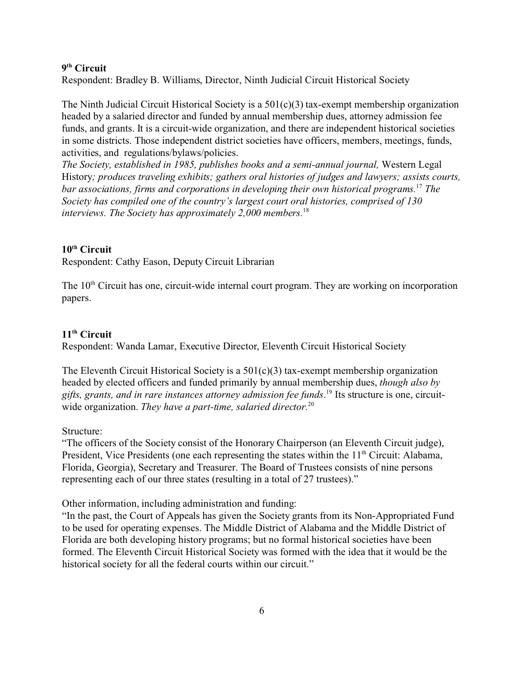#### **9 th Circuit**

Respondent: Bradley B. Williams, Director, Ninth Judicial Circuit Historical Society

The Ninth Judicial Circuit Historical Society is a  $501(c)(3)$  tax-exempt membership organization headed by a salaried director and funded by annual membership dues, attorney admission fee funds, and grants. It is a circuit-wide organization, and there are independent historical societies in some districts. Those independent district societies have officers, members, meetings, funds, activities, and regulations/bylaws/policies.

*The Society, established in 1985, publishes books and a semi-annual journal,* Western Legal History*; produces traveling exhibits; gathers oral histories of judges and lawyers; assists courts, bar associations, firms and corporations in developing their own historical programs.*<sup>17</sup> *The Society has compiled one of the country's largest court oral histories, comprised of 130 interviews. The Society has approximately 2,000 members.*<sup>18</sup>

#### **10th Circuit**

Respondent: Cathy Eason, Deputy Circuit Librarian

The 10<sup>th</sup> Circuit has one, circuit-wide internal court program. They are working on incorporation papers.

#### **11th Circuit**

Respondent: Wanda Lamar, Executive Director, Eleventh Circuit Historical Society

The Eleventh Circuit Historical Society is a  $501(c)(3)$  tax-exempt membership organization headed by elected officers and funded primarily by annual membership dues, *though also by gifts, grants, and in rare instances attorney admission fee funds*. 19 Its structure is one, circuitwide organization. *They have a part-time, salaried director.*<sup>20</sup>

#### Structure:

"The officers of the Society consist of the Honorary Chairperson (an Eleventh Circuit judge), President, Vice Presidents (one each representing the states within the  $11<sup>th</sup>$  Circuit: Alabama, Florida, Georgia), Secretary and Treasurer. The Board of Trustees consists of nine persons representing each of our three states (resulting in a total of 27 trustees)."

Other information, including administration and funding:

"In the past, the Court of Appeals has given the Society grants from its Non-Appropriated Fund to be used for operating expenses. The Middle District of Alabama and the Middle District of Florida are both developing history programs; but no formal historical societies have been formed. The Eleventh Circuit Historical Society was formed with the idea that it would be the historical society for all the federal courts within our circuit."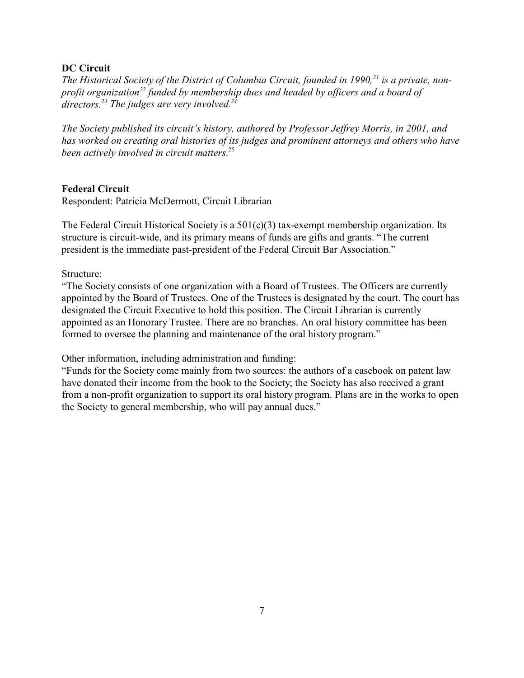#### **DC Circuit**

*The Historical Society of the District of Columbia Circuit, founded in 1990,21 is a private, nonprofit organization<sup>22</sup> funded by membership dues and headed by officers and a board of directors.<sup>23</sup> The judges are very involved.<sup>24</sup>*

*The Society published its circuit's history, authored by Professor Jeffrey Morris, in 2001, and has worked on creating oral histories of its judges and prominent attorneys and others who have been actively involved in circuit matters.*<sup>25</sup>

#### **Federal Circuit**

Respondent: Patricia McDermott, Circuit Librarian

The Federal Circuit Historical Society is a  $501(c)(3)$  tax-exempt membership organization. Its structure is circuit-wide, and its primary means of funds are gifts and grants. "The current president is the immediate past-president of the Federal Circuit Bar Association."

Structure:

"The Society consists of one organization with a Board of Trustees. The Officers are currently appointed by the Board of Trustees. One of the Trustees is designated by the court. The court has designated the Circuit Executive to hold this position. The Circuit Librarian is currently appointed as an Honorary Trustee. There are no branches. An oral history committee has been formed to oversee the planning and maintenance of the oral history program."

Other information, including administration and funding:

"Funds for the Society come mainly from two sources: the authors of a casebook on patent law have donated their income from the book to the Society; the Society has also received a grant from a non-profit organization to support its oral history program. Plans are in the works to open the Society to general membership, who will pay annual dues."